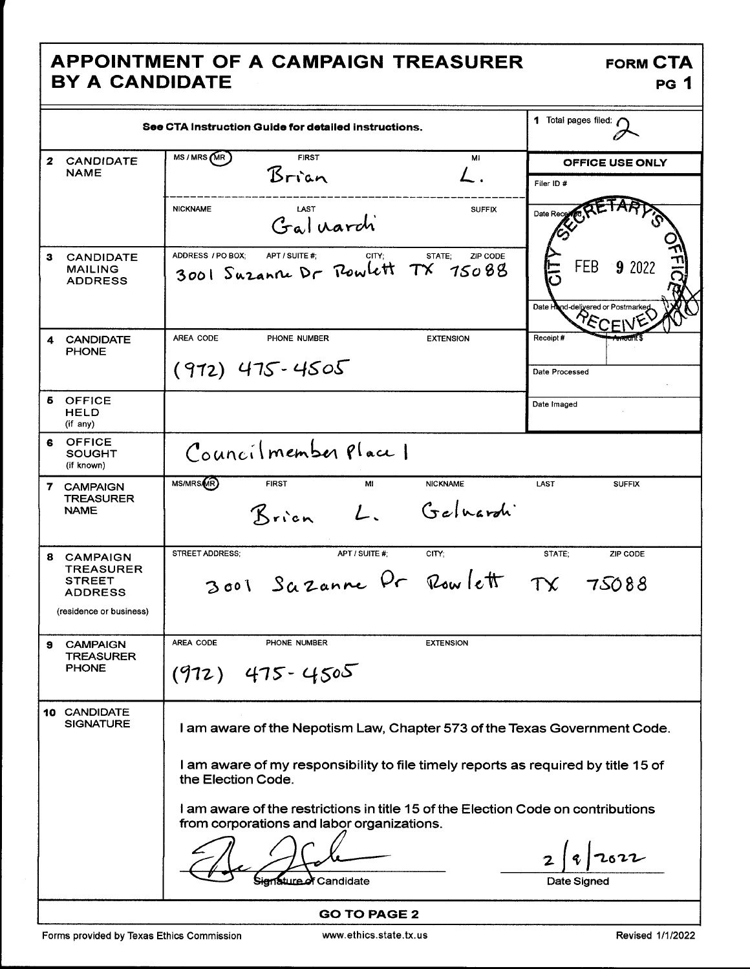## APPOINTMENT OF A CAMPAIGN TREASURER **BY A CANDIDATE**

**FORM CTA PG 1** 

|                                                                                                        | See CTA Instruction Guide for detailed instructions,                                                                           | 1 Total pages filed: (                             |
|--------------------------------------------------------------------------------------------------------|--------------------------------------------------------------------------------------------------------------------------------|----------------------------------------------------|
| <b>CANDIDATE</b><br>$\mathbf{z}$<br><b>NAME</b>                                                        | MS/MRS (MR)<br><b>FIRST</b><br>Mi<br>Brian<br>$\mathcal{L}$ .                                                                  | OFFICE USE ONLY<br>Filer ID #                      |
|                                                                                                        | <b>NICKNAME</b><br>LAST<br><b>SUFFIX</b><br>Galuarch                                                                           | Date Re                                            |
| 3<br><b>CANDIDATE</b><br><b>MAILING</b><br><b>ADDRESS</b>                                              | ADDRESS / PO BOX;<br>APT / SUITE #;<br>STATE;<br>ZIP CODE<br>CITY:<br>3001 Suzanne Dr Powlett TX<br>15088                      | FEB<br>9 2022<br>Date Hand-delivered or Postmarkeg |
| <b>CANDIDATE</b><br>4<br><b>PHONE</b>                                                                  | AREA CODE<br>PHONE NUMBER<br><b>EXTENSION</b><br>$(912)$ 475-4505                                                              | Receipt#<br>Date Processed                         |
| Б<br><b>OFFICE</b><br><b>HELD</b><br>$(i f \nany)$                                                     |                                                                                                                                | Date Imaged                                        |
| <b>OFFICE</b><br>6<br><b>SOUGHT</b><br>(if known)                                                      | Councilmember Place 1                                                                                                          |                                                    |
| 7 CAMPAIGN<br><b>TREASURER</b><br><b>NAME</b>                                                          | MS/MRS(MR)<br><b>FIRST</b><br>MI<br><b>NICKNAME</b><br>Geluardi<br>Brien                                                       | LAST<br><b>SUFFIX</b>                              |
| 8<br><b>CAMPAIGN</b><br><b>TREASURER</b><br><b>STREET</b><br><b>ADDRESS</b><br>(residence or business) | <b>STREET ADDRESS:</b><br>APT / SUITE #:<br>CITY;<br>3001 Sazanne Pr Rowlett TX 75088                                          | STATE:<br>ZIP CODE                                 |
| <b>CAMPAIGN</b><br>э<br><b>TREASURER</b><br><b>PHONE</b>                                               | AREA CODE<br>PHONE NUMBER<br><b>EXTENSION</b><br>$(972)$ 475-4505                                                              |                                                    |
| 10 CANDIDATE<br><b>SIGNATURE</b>                                                                       | I am aware of the Nepotism Law, Chapter 573 of the Texas Government Code.                                                      |                                                    |
|                                                                                                        | I am aware of my responsibility to file timely reports as required by title 15 of<br>the Election Code.                        |                                                    |
|                                                                                                        | I am aware of the restrictions in title 15 of the Election Code on contributions<br>from corporations and labor organizations. |                                                    |
|                                                                                                        | ignature of Candidate                                                                                                          | Date Signed                                        |
|                                                                                                        | <b>GO TO PAGE 2</b>                                                                                                            |                                                    |

 $\overline{\phantom{a}}$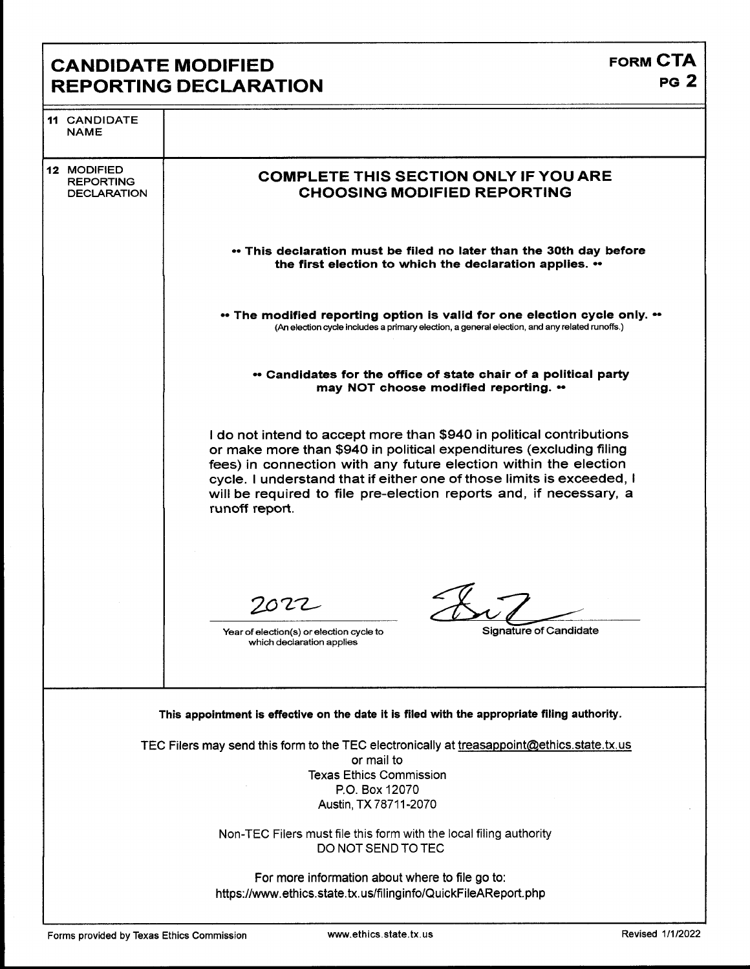## CANDIDATE MODIFIED<br>REPORTING DECLARATION **REPORTING DECLARATION**

| <b>11 CANDIDATE</b><br><b>NAME</b>                    |                                                                                                                                                                                                                                                                                                                                                                                  |
|-------------------------------------------------------|----------------------------------------------------------------------------------------------------------------------------------------------------------------------------------------------------------------------------------------------------------------------------------------------------------------------------------------------------------------------------------|
| 12 MODIFIED<br><b>REPORTING</b><br><b>DECLARATION</b> | <b>COMPLETE THIS SECTION ONLY IF YOU ARE</b><br><b>CHOOSING MODIFIED REPORTING</b>                                                                                                                                                                                                                                                                                               |
|                                                       | • This declaration must be filed no later than the 30th day before<br>the first election to which the declaration applies. "                                                                                                                                                                                                                                                     |
|                                                       | • The modified reporting option is valid for one election cycle only. ••<br>(An election cycle includes a primary election, a general election, and any related runoffs.)                                                                                                                                                                                                        |
|                                                       | • Candidates for the office of state chair of a political party<br>may NOT choose modified reporting. "                                                                                                                                                                                                                                                                          |
|                                                       | I do not intend to accept more than \$940 in political contributions<br>or make more than \$940 in political expenditures (excluding filing<br>fees) in connection with any future election within the election<br>cycle. I understand that if either one of those limits is exceeded, I<br>will be required to file pre-election reports and, if necessary, a<br>runoff report. |
|                                                       | 7022<br>Signature of Candidate<br>Year of election(s) or election cycle to<br>which declaration applies                                                                                                                                                                                                                                                                          |
|                                                       | This appointment is effective on the date it is filed with the appropriate filing authority.                                                                                                                                                                                                                                                                                     |
|                                                       | TEC Filers may send this form to the TEC electronically at treasappoint@ethics.state.tx.us<br>or mail to<br><b>Texas Ethics Commission</b><br>P.O. Box 12070<br>Austin, TX 78711-2070                                                                                                                                                                                            |
|                                                       | Non-TEC Filers must file this form with the local filing authority<br>DO NOT SEND TO TEC                                                                                                                                                                                                                                                                                         |
|                                                       | For more information about where to file go to:<br>https://www.ethics.state.tx.us/filinginfo/QuickFileAReport.php                                                                                                                                                                                                                                                                |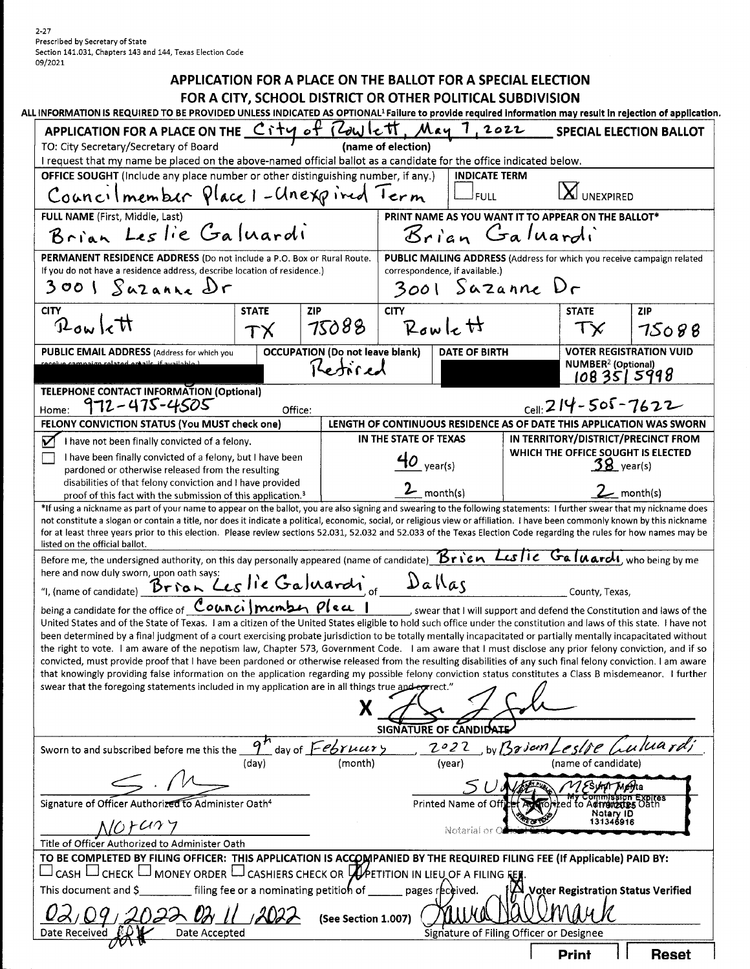$2 - 27$ Prescribed by Secretary of State Section 141.031, Chapters 143 and 144, Texas Election Code 09/2021

### APPLICATION FOR A PLACE ON THE BALLOT FOR A SPECIAL ELECTION

FOR A CITY, SCHOOL DISTRICT OR OTHER POLITICAL SUBDIVISION

| ALL INFORMATION IS REQUIRED TO BE PROVIDED UNLESS INDICATED AS OPTIONAL <sup>1</sup> Failure to provide required information may result in rejection of application                                                                                                                                                                                      |                            |                                        |                             |                                                    |             |                                      |                                                                                                             |  |
|----------------------------------------------------------------------------------------------------------------------------------------------------------------------------------------------------------------------------------------------------------------------------------------------------------------------------------------------------------|----------------------------|----------------------------------------|-----------------------------|----------------------------------------------------|-------------|--------------------------------------|-------------------------------------------------------------------------------------------------------------|--|
| APPLICATION FOR A PLACE ON THE City of Rowlett                                                                                                                                                                                                                                                                                                           |                            |                                        |                             | May 7,2022                                         |             |                                      | <b>SPECIAL ELECTION BALLOT</b>                                                                              |  |
| TO: City Secretary/Secretary of Board<br>(name of election)                                                                                                                                                                                                                                                                                              |                            |                                        |                             |                                                    |             |                                      |                                                                                                             |  |
| I request that my name be placed on the above-named official ballot as a candidate for the office indicated below.                                                                                                                                                                                                                                       |                            |                                        |                             | <b>INDICATE TERM</b>                               |             |                                      |                                                                                                             |  |
| OFFICE SOUGHT (Include any place number or other distinguishing number, if any.)                                                                                                                                                                                                                                                                         |                            |                                        |                             |                                                    |             |                                      |                                                                                                             |  |
| Councilmember Place 1-Clnexpired Term                                                                                                                                                                                                                                                                                                                    |                            |                                        |                             | <b>FULL</b>                                        |             | <b>UNEXPIRED</b>                     |                                                                                                             |  |
| FULL NAME (First, Middle, Last)                                                                                                                                                                                                                                                                                                                          |                            |                                        |                             | PRINT NAME AS YOU WANT IT TO APPEAR ON THE BALLOT* |             |                                      |                                                                                                             |  |
| Brian Leslie Galuardi                                                                                                                                                                                                                                                                                                                                    |                            |                                        |                             | Brian Galuardi                                     |             |                                      |                                                                                                             |  |
| PERMANENT RESIDENCE ADDRESS (Do not include a P.O. Box or Rural Route.                                                                                                                                                                                                                                                                                   |                            |                                        |                             |                                                    |             |                                      | PUBLIC MAILING ADDRESS (Address for which you receive campaign related                                      |  |
| If you do not have a residence address, describe location of residence.)                                                                                                                                                                                                                                                                                 |                            |                                        |                             | correspondence, if available.)                     |             |                                      |                                                                                                             |  |
| $3001$ Sazanne Dr                                                                                                                                                                                                                                                                                                                                        |                            |                                        |                             | 3001 Sazanne Dr                                    |             |                                      |                                                                                                             |  |
| <b>CITY</b>                                                                                                                                                                                                                                                                                                                                              | <b>STATE</b><br><b>ZIP</b> |                                        | <b>CITY</b>                 |                                                    |             | <b>STATE</b>                         | <b>ZIP</b>                                                                                                  |  |
| $P_{\text{ow}} _{\text{c}}$                                                                                                                                                                                                                                                                                                                              | TX                         | 75088                                  |                             | $R$ owlett                                         |             |                                      | 75088                                                                                                       |  |
|                                                                                                                                                                                                                                                                                                                                                          |                            | <b>OCCUPATION (Do not leave blank)</b> |                             | <b>DATE OF BIRTH</b>                               |             |                                      | <b>VOTER REGISTRATION VUID</b>                                                                              |  |
| <b>PUBLIC EMAIL ADDRESS</b> (Address for which you<br>campaign related entails if available 1                                                                                                                                                                                                                                                            |                            | Retired                                |                             |                                                    |             | <b>NUMBER<sup>2</sup></b> (Optional) |                                                                                                             |  |
|                                                                                                                                                                                                                                                                                                                                                          |                            |                                        |                             |                                                    |             | 1083515998                           |                                                                                                             |  |
| <b>TELEPHONE CONTACT INFORMATION (Optional)</b>                                                                                                                                                                                                                                                                                                          |                            |                                        |                             |                                                    |             |                                      |                                                                                                             |  |
| 972-475-4505<br>Home:                                                                                                                                                                                                                                                                                                                                    | Office:                    |                                        |                             |                                                    |             | $_{cell:}$ 214 - 505 - 7622          |                                                                                                             |  |
| FELONY CONVICTION STATUS (You MUST check one)                                                                                                                                                                                                                                                                                                            |                            |                                        | IN THE STATE OF TEXAS       |                                                    |             |                                      | LENGTH OF CONTINUOUS RESIDENCE AS OF DATE THIS APPLICATION WAS SWORN<br>IN TERRITORY/DISTRICT/PRECINCT FROM |  |
| V<br>I have not been finally convicted of a felony.<br>I have been finally convicted of a felony, but I have been                                                                                                                                                                                                                                        |                            |                                        |                             |                                                    |             |                                      | WHICH THE OFFICE SOUGHT IS ELECTED                                                                          |  |
| pardoned or otherwise released from the resulting                                                                                                                                                                                                                                                                                                        |                            |                                        | $\boldsymbol{\phi}$ year(s) |                                                    |             | $38$ year(s)                         |                                                                                                             |  |
| disabilities of that felony conviction and I have provided                                                                                                                                                                                                                                                                                               |                            |                                        |                             | $2$ <sub>month(s)</sub>                            |             |                                      |                                                                                                             |  |
| proof of this fact with the submission of this application. <sup>3</sup>                                                                                                                                                                                                                                                                                 |                            |                                        |                             |                                                    |             |                                      | $\mathcal{L}_{\mathbb{L}}$ month(s)                                                                         |  |
| *If using a nickname as part of your name to appear on the ballot, you are also signing and swearing to the following statements: I further swear that my nickname does<br>not constitute a slogan or contain a title, nor does it indicate a political, economic, social, or religious view or affiliation. I have been commonly known by this nickname |                            |                                        |                             |                                                    |             |                                      |                                                                                                             |  |
| for at least three years prior to this election. Please review sections 52.031, 52.032 and 52.033 of the Texas Election Code regarding the rules for how names may be                                                                                                                                                                                    |                            |                                        |                             |                                                    |             |                                      |                                                                                                             |  |
| listed on the official ballot.<br>Before me, the undersigned authority, on this day personally appeared (name of candidate) $Bri\epsilon n$ Leslic Galuardi, who being by me                                                                                                                                                                             |                            |                                        |                             |                                                    |             |                                      |                                                                                                             |  |
| here and now duly sworn, upon oath says:                                                                                                                                                                                                                                                                                                                 |                            |                                        |                             |                                                    |             |                                      |                                                                                                             |  |
| "I, (name of candidate) Brion Les lie Galuardi, of                                                                                                                                                                                                                                                                                                       |                            |                                        |                             | $D$ allas                                          |             | County, Texas,                       |                                                                                                             |  |
| being a candidate for the office of Councilmenter Plea                                                                                                                                                                                                                                                                                                   |                            |                                        |                             |                                                    |             |                                      | swear that I will support and defend the Constitution and laws of the                                       |  |
| United States and of the State of Texas. I am a citizen of the United States eligible to hold such office under the constitution and laws of this state. I have not                                                                                                                                                                                      |                            |                                        |                             |                                                    |             |                                      |                                                                                                             |  |
| been determined by a final judgment of a court exercising probate jurisdiction to be totally mentally incapacitated or partially mentally incapacitated without                                                                                                                                                                                          |                            |                                        |                             |                                                    |             |                                      |                                                                                                             |  |
| the right to vote. I am aware of the nepotism law, Chapter 573, Government Code. I am aware that I must disclose any prior felony conviction, and if so<br>convicted, must provide proof that I have been pardoned or otherwise released from the resulting disabilities of any such final felony conviction. I am aware                                 |                            |                                        |                             |                                                    |             |                                      |                                                                                                             |  |
| that knowingly providing false information on the application regarding my possible felony conviction status constitutes a Class B misdemeanor. I further                                                                                                                                                                                                |                            |                                        |                             |                                                    |             |                                      |                                                                                                             |  |
| swear that the foregoing statements included in my application are in all things true and egrect."                                                                                                                                                                                                                                                       |                            |                                        |                             |                                                    |             |                                      |                                                                                                             |  |
|                                                                                                                                                                                                                                                                                                                                                          |                            |                                        |                             |                                                    |             |                                      |                                                                                                             |  |
|                                                                                                                                                                                                                                                                                                                                                          |                            |                                        |                             | SIGNATURE OF CANDIDATE                             |             |                                      |                                                                                                             |  |
| Sworn to and subscribed before me this the $\mathcal{I}^{\prime}$                                                                                                                                                                                                                                                                                        |                            | day of $Februar$                       |                             | 2022                                               | by $B$ rjan |                                      |                                                                                                             |  |
|                                                                                                                                                                                                                                                                                                                                                          | (day)                      | (month)                                |                             | (year)                                             |             | (name of candidate)                  |                                                                                                             |  |
|                                                                                                                                                                                                                                                                                                                                                          |                            |                                        |                             |                                                    |             | 2 SSYMAT MAHia                       |                                                                                                             |  |
| Signature of Officer Authorized to Administer Oath <sup>4</sup>                                                                                                                                                                                                                                                                                          |                            |                                        |                             | Printed Name of Off                                |             | ized to                              |                                                                                                             |  |
|                                                                                                                                                                                                                                                                                                                                                          |                            |                                        |                             |                                                    |             | Notary ID<br>131346916               |                                                                                                             |  |
| NOTURY                                                                                                                                                                                                                                                                                                                                                   |                            |                                        |                             | Notarial or                                        |             |                                      |                                                                                                             |  |
| Title of Officer Authorized to Administer Oath<br>TO BE COMPLETED BY FILING OFFICER: THIS APPLICATION IS ACCOMPANIED BY THE REQUIRED FILING FEE (If Applicable) PAID BY:                                                                                                                                                                                 |                            |                                        |                             |                                                    |             |                                      |                                                                                                             |  |
| $\square$ cash $\square$ check $\square$ money order $\square$ cashiers check or $\not\!\!\!\mathcal{U}\!\!\!\mathcal{V}$ etition in lieu of a filing ree.                                                                                                                                                                                               |                            |                                        |                             |                                                    |             |                                      |                                                                                                             |  |
| This document and \$ __________ filing fee or a nominating petition of ______                                                                                                                                                                                                                                                                            |                            |                                        |                             | pages received.                                    |             |                                      | $\Delta$ Voter Registration Status Verified                                                                 |  |
|                                                                                                                                                                                                                                                                                                                                                          |                            |                                        |                             |                                                    |             |                                      |                                                                                                             |  |
|                                                                                                                                                                                                                                                                                                                                                          | <u>12022</u>               | (See Section 1.007)                    |                             |                                                    |             |                                      |                                                                                                             |  |
| Date Accepted<br>Date Received                                                                                                                                                                                                                                                                                                                           |                            |                                        |                             | Signature of Filing Officer or Designee            |             |                                      |                                                                                                             |  |
|                                                                                                                                                                                                                                                                                                                                                          |                            |                                        |                             |                                                    |             | <b>Print</b>                         | <b>Reset</b>                                                                                                |  |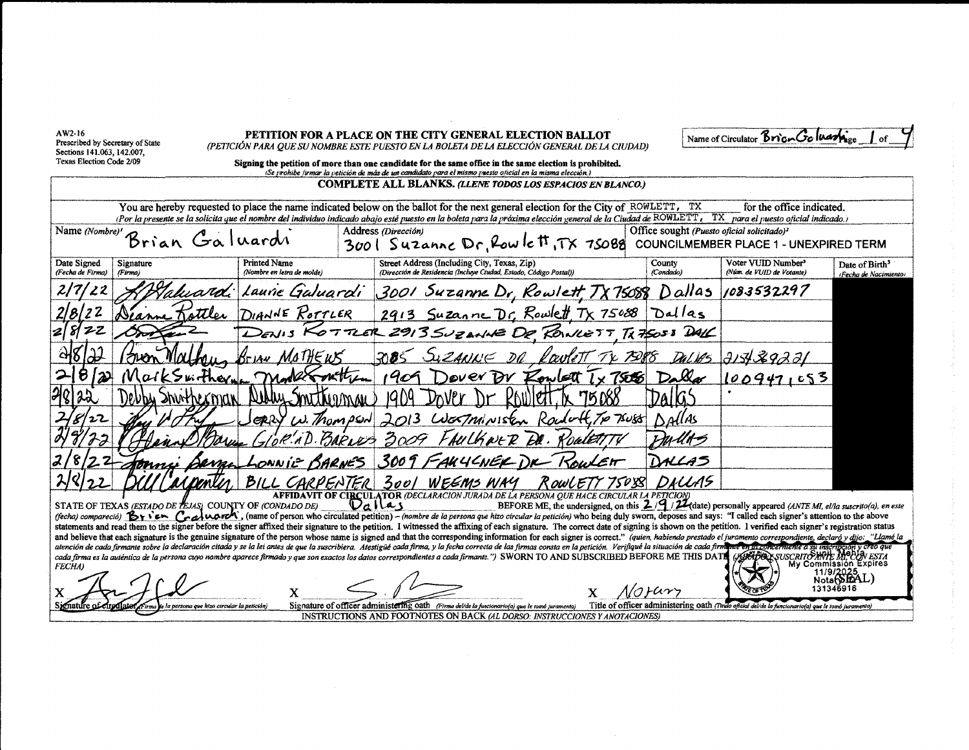AW2-16 Prescribed by Secretary of State Sections 141,063, 142,007, Texas Election Code 2/09

#### PETITION FOR A PLACE ON THE CITY GENERAL ELECTION BALLOT (PETICIÓN PARA QUE SU NOMBRE ESTE PUESTO EN LA BOLETA DE LA ELECCIÓN GENERAL DE LA CIUDAD)

Name of Circulator Brian Goluanis

Signing the petition of more than one candidate for the same office in the same election is prohibited.

(Se prohibe firmar la petición de más de un candidato para el mismo puesto oficial en la misma elección.) **COMPLETE ALL BLANKS. (LLENE TODOS LOS ESPACIOS EN BLANCO.)** You are hereby requested to place the name indicated below on the ballot for the next general election for the City of ROWLETT, TX for the office indicated. (Por la presente se la solicita que el nombre del individuo indicado abajo esté puesto en la boleta para la próxima elección general de la Ciudad de ROWLETT, TX para el puesto oficial indicado. Office sought (Puesto oficial solicitado)<sup>2</sup> Name (Nombre)' Address (Dirección) Brian Galuardi 3001 Suzanne Dr, Row le H, TX 75088 COUNCILMEMBER PLACE 1 - UNEXPIRED TERM Street Address (Including City, Texas, Zip) Voter VUID Number<sup>3</sup> Date Signed **Printed Name** County Signature Date of Birth<sup>3</sup> (Nombre en letra de molde) (Dirección de Residencia (Incluye Ciudad, Estado, Código Postal), (Núm. de VUID de Votante) (Fecha de Firma) (Firma) (Condado) (Fecha de Nacimiento) 3001 Suzanne Dr, Rowlett, TX Laurie Galuardi 1083532297 Dallas 75088 2913 Suzanne Dr. Rowlett Tx 75088 DIANNE ROTTLER Dallas SUPANNE DE RONLETT TX75058 DALC  $713129221$  $1009471053$ **7.688** 3001 WEEMS WAY OWLE AFFIDAVIT OF CIRCULATOR (DECLARACION JURADA DE LA PERSONA QUE HACE CIRCULAR LA PETICION)<br>DNDADO DE) QUAS BEFORE ME, the undersigned, on this 2/9/22 (date) personally appeared (ANTE MI, el/la suscrito(a), en este STATE OF TEXAS (ESTADO DE TEJAS) COUNTY OF (CONDADO DE)

(fecha) compareció)  $\mathcal{B}_1$  i en Coaluardi, (name of person who circulated petition) - (nombre de la persona que hizo circular la petición) who being duly sworn, deposes and says: "I called each signer's attention to the statements and read them to the signer before the signer affixed their signature to the petition. I witnessed the affixing of each signature. The correct date of signing is shown on the petition. I verified each signer's r and believe that each signature is the genuine signature of the person whose name is signed and that the corresponding information for each signer is correct." (quien, habiendo prestado el juramento correspondiente, declar atención de cada firmante sobre la declaración citada y se la lei antes de que la suscribiera. Atestigüe cada firma, y la fecha correcta de las firmas consta en la petición. Verifique la situación de cada firm <del>ue en la concerniente</del> a su inscripción y creo qu<br>(HITABOXSUSCRITO ANTE MC CON ESTA cada firma es la auténtica de la persona cuyo nombre aparece firmado y que son exactos los datos correspondientes a cada firmante.") SWORN TO AND SUBSCRIBED BEFORE ME THIS DATI My Commission Expires **FECHA** 

X .<br>e la persona que hizo circular la petición) fnatifr

x

1/orary X



Signature of officer administering oath (Firma delide la funcionario(a) que le tomó juramento) **INSTRUCTIONS AND FOOTNOTES ON BACK (AL DORSO: INSTRUCCIONES Y ANOTACIONES)**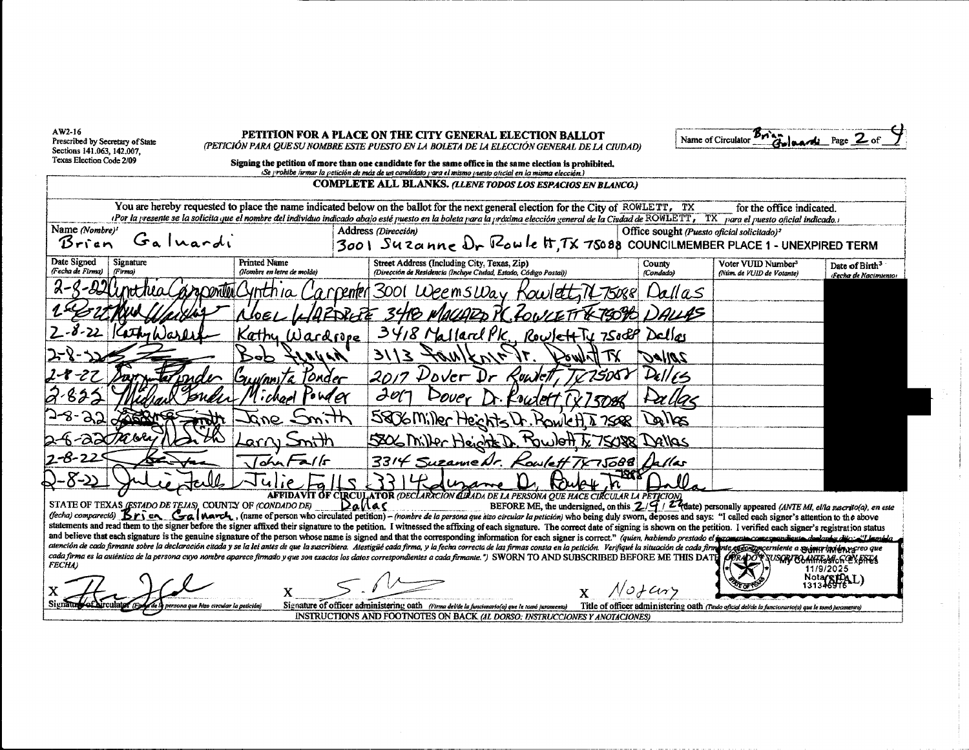AW2-16 Prescribed by Secretary of State<br>Sections 141.063, 142.007, Texas Election Code 2/09

PETITION FOR A PLACE ON THE CITY GENERAL ELECTION BALLOT (PETICIÓN PARA QUE SU NOMBRE ESTE PUESTO EN LA BOLETA DE LA ELECCIÓN GENERAL DE LA CIUDAD)

Brigade Page 2 Name of Circulator

| Signing the petition of more than one candidate for the same office in the same election is prohibited. |  |
|---------------------------------------------------------------------------------------------------------|--|
|                                                                                                         |  |

(Se prohibe firmar la petición de más de un candidato para el mismo puesto oficial en la misma elección.)

|                                 |                                                          |                                                   | <b>COMPLETE ALL BLANKS. (LLENE TODOS LOS ESPACIOS EN BLANCO.)</b>                                                                                                                                                                                                                                                                                                                                                                                                |                                                        |                                                                                                   |                                                     |
|---------------------------------|----------------------------------------------------------|---------------------------------------------------|------------------------------------------------------------------------------------------------------------------------------------------------------------------------------------------------------------------------------------------------------------------------------------------------------------------------------------------------------------------------------------------------------------------------------------------------------------------|--------------------------------------------------------|---------------------------------------------------------------------------------------------------|-----------------------------------------------------|
|                                 |                                                          |                                                   | You are hereby requested to place the name indicated below on the ballot for the next general election for the City of ROWLETT, TX                                                                                                                                                                                                                                                                                                                               |                                                        | for the office indicated.                                                                         |                                                     |
| Name (Nombre)'                  |                                                          |                                                   | (Por la presente se la solicita que el nombre del individuo indicado abajo esté puesto en la boleta para la próxima elección general de la Ciudad de ROWLETT, TX para el puesto oficial indicado.<br>Address (Dirección)                                                                                                                                                                                                                                         |                                                        |                                                                                                   |                                                     |
| Brien                           | Galuardi                                                 |                                                   | $3001$ Suzanne $0r$ $R_0w$ le $\pi$ , TX 75088 COUNCILMEMBER PLACE 1 - UNEXPIRED TERM                                                                                                                                                                                                                                                                                                                                                                            | Office sought (Puesto oficial solicitado) <sup>2</sup> |                                                                                                   |                                                     |
|                                 |                                                          |                                                   |                                                                                                                                                                                                                                                                                                                                                                                                                                                                  |                                                        |                                                                                                   |                                                     |
| Date Signed<br>(Fecha de Firma) | Signature<br>(Firma)                                     | <b>Printed Name</b><br>(Nombre en letra de molde) | Street Address (Including City, Texas, Zip)<br>(Dirección de Residencia (Incluye Ciudad, Estado, Código Postal))                                                                                                                                                                                                                                                                                                                                                 | County<br>(Condado)                                    | Voter VUID Number <sup>3</sup><br>(Núm. de VUID de Votante)                                       | Date of Birth <sup>3</sup><br>(Fecha de Nacimiento) |
|                                 | Cracontent                                               |                                                   | arpenter 3001 WeemsWay                                                                                                                                                                                                                                                                                                                                                                                                                                           | Dallas                                                 |                                                                                                   |                                                     |
|                                 |                                                          |                                                   |                                                                                                                                                                                                                                                                                                                                                                                                                                                                  |                                                        |                                                                                                   |                                                     |
|                                 |                                                          | Kathy Wardfore                                    | 3418 Mallard PK<br>Rowlett Ty 7500P Dalley                                                                                                                                                                                                                                                                                                                                                                                                                       |                                                        |                                                                                                   |                                                     |
|                                 |                                                          | $\hat{\mathscr{M}}$ and a set $\hat{\mathscr{M}}$ | 3113<br>$\mathscr{M}/\mathscr{K}$ $\mathscr{M}_{\mathscr{F}}$<br><i>Truvo</i>                                                                                                                                                                                                                                                                                                                                                                                    | <i><b>JAIIRC</b></i>                                   |                                                                                                   |                                                     |
|                                 |                                                          | Gu <i>uln</i> ni Ta<br>Tonder                     | $\mathcal{V}$ over<br>7508)<br><b>Kuiv</b> et                                                                                                                                                                                                                                                                                                                                                                                                                    |                                                        |                                                                                                   |                                                     |
|                                 |                                                          |                                                   | DUZPT                                                                                                                                                                                                                                                                                                                                                                                                                                                            |                                                        |                                                                                                   |                                                     |
| 95                              |                                                          |                                                   | 5806 Miller Heichts<br>$R_{\text{Coul}}$ $R_{\overline{h}$ $\overline{h}$ $\overline{g}$                                                                                                                                                                                                                                                                                                                                                                         | Dalles                                                 |                                                                                                   |                                                     |
| $\partial \mathcal{X}$          |                                                          |                                                   | 5806 Miller Heicht D. Howlott T. 75088 Dellas                                                                                                                                                                                                                                                                                                                                                                                                                    |                                                        |                                                                                                   |                                                     |
| $2 - 8 - 2$                     |                                                          |                                                   | 3314 Suzanne Dr. Kowlett TX75688 Dallas                                                                                                                                                                                                                                                                                                                                                                                                                          |                                                        |                                                                                                   |                                                     |
|                                 |                                                          |                                                   |                                                                                                                                                                                                                                                                                                                                                                                                                                                                  |                                                        |                                                                                                   |                                                     |
|                                 | STATE OF TEXAS (ESTADO DE TEJAS), COUNTY OF (CONDADO DE) | Dallar                                            | <b>AFFIDAVIT OF CIRCULATOR (DECLARACION CIRADA DE LA PERSONA QUE HACE CIRCULAR LA PETICION)</b>                                                                                                                                                                                                                                                                                                                                                                  |                                                        |                                                                                                   |                                                     |
|                                 |                                                          |                                                   | BEFORE ME, the undersigned, on this $2/\frac{7}{4}$ / $2\frac{7}{4}$ (date) personally appeared (ANTE MI, el/la suscrito(a), en este<br>(fecha) comparectio) $\mathbf{B}$ r served than $\mathbf{C}_a$ than $\mathbf{C}_b$ (name of person who circulated petition) – (nombre de la persona que hizo circular la petición) who being duly sworn, deposes and says: "I called each s                                                                              |                                                        |                                                                                                   |                                                     |
|                                 |                                                          |                                                   | statements and read them to the signer before the signer affixed their signature to the petition. I witnessed the affixing of each signature. The correct date of signing is shown on the petition. I verified each signer's r                                                                                                                                                                                                                                   |                                                        |                                                                                                   |                                                     |
|                                 |                                                          |                                                   | and believe that each signature is the genuine signature of the person whose name is signed and that the corresponding information for each signer is correct." (quien, habiendo prestado el jucamento come grondiento declare<br>atención de cada firmante sobre la declaración citada y se la lei antes de que la suscribiera. Alestigüe cada firma, y la fecha correcta de las firmas consta en la petición. Verifique la situación de cada firmante especien |                                                        |                                                                                                   |                                                     |
| <b>FECHA</b> )                  |                                                          |                                                   | cada firma es la auténtica de la persona cuyo nombre aparece firmado y que son exactos los datos correspondientes a cada firmante.") SWORN TO AND SUBSCRIBED BEFORE ME THIS DATE OPRADO SUSCRIBEMENTSMONTES                                                                                                                                                                                                                                                      |                                                        |                                                                                                   | 11/9/2025                                           |
|                                 |                                                          |                                                   |                                                                                                                                                                                                                                                                                                                                                                                                                                                                  |                                                        |                                                                                                   |                                                     |
|                                 | ersona que hizo circular la netición.                    |                                                   | Signature of officer administering oath (Firma del/de la funcionario(a) que le tomó juramento)                                                                                                                                                                                                                                                                                                                                                                   |                                                        | Title of officer administering oath (Tudo oficial delice is funcionario(a) que le tomó juramento) |                                                     |
|                                 |                                                          |                                                   | INSTRUCTIONS AND FOOTNOTES ON BACK (AL DORSO: INSTRUCCIONES Y ANOTACIONES)                                                                                                                                                                                                                                                                                                                                                                                       |                                                        |                                                                                                   |                                                     |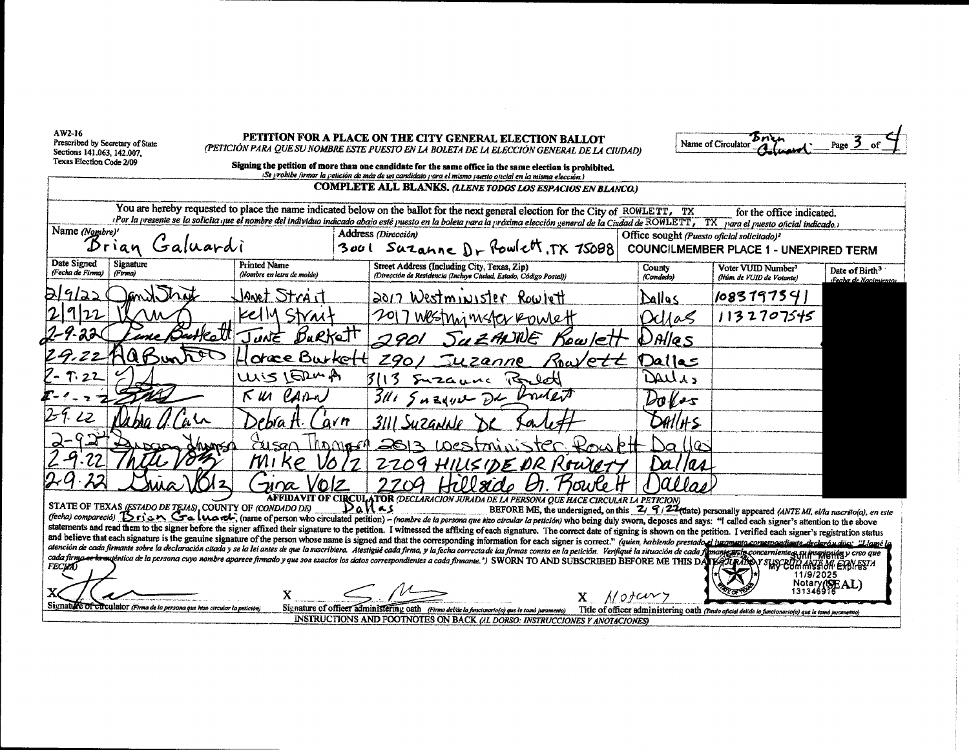AW2-16 Prescribed by Secretary of State Sections 141,063, 142,007, Texas Election Code 2/09

#### PETITION FOR A PLACE ON THE CITY GENERAL ELECTION BALLOT (PETICIÓN PARA QUE SU NOMBRE ESTE PUESTO EN LA BOLETA DE LA ELECCIÓN GENERAL DE LA CIUDAD)

| Name of Circulator |  |
|--------------------|--|
|                    |  |

Notary(SEAL)

| Signing the petition of more than one candidate for the same office in the same election is prohibited.   |
|-----------------------------------------------------------------------------------------------------------|
| (Se prohibe firmar la petición de más de un candidato para el mismo puesto oficial en la misma elección.) |
| COMPLETE ALL BLANKS ALEME TODOS LOS FSDACIOS FALBI ANGOV                                                  |

|                                 |                      |                                                          |                                                   |            | You are hereby requested to place the name indicated below on the ballot for the next general election for the City of ROWLETT, TX |                 |         |                                                        | for the office indicated.<br>Por la presente se la solicita que el nombre del individuo indicado abajo esté puesto en la boleta para la próxima elección general de la Ciudad de ROWLETT, TX para el puesto oficial indicado.) |                                                     |
|---------------------------------|----------------------|----------------------------------------------------------|---------------------------------------------------|------------|------------------------------------------------------------------------------------------------------------------------------------|-----------------|---------|--------------------------------------------------------|--------------------------------------------------------------------------------------------------------------------------------------------------------------------------------------------------------------------------------|-----------------------------------------------------|
| Name (Nombre)'                  |                      |                                                          |                                                   |            | Address (Dirección)                                                                                                                |                 |         | Office sought (Puesto oficial solicitado) <sup>2</sup> |                                                                                                                                                                                                                                |                                                     |
|                                 | Dirian               | Galuardi                                                 |                                                   |            | 3001 Suzanne Dr Rowlett, TX 75088                                                                                                  |                 |         |                                                        | <b>COUNCILMEMBER PLACE 1 - UNEXPIRED TERM</b>                                                                                                                                                                                  |                                                     |
| Date Signed<br>(Fecha de Firma) | Signature<br>(Firma) |                                                          | <b>Printed Name</b><br>(Nombre en letra de molde) |            | Street Address (Including City, Texas, Zip)<br>(Dirección de Residencia (Incluye Ciudad, Estado, Código Postal))                   |                 |         | County<br>(Condado)                                    | Voter VUID Number <sup>3</sup><br>(Núm. de VUID de Votante)                                                                                                                                                                    | Date of Birth <sup>3</sup><br>(Fecha de Nacimiento) |
| <u> DI9/22</u>                  |                      | 1. That                                                  | Janet Strait                                      |            | 2017 Westminister Rowlett                                                                                                          |                 |         | Dallas                                                 | 1083197541                                                                                                                                                                                                                     |                                                     |
| 2 9 22                          |                      | ۱M                                                       | Kelly Strait                                      |            | 2017 Westning mister Roulett                                                                                                       |                 |         | Dd/a                                                   | 1132707545                                                                                                                                                                                                                     |                                                     |
| -4.22(                          |                      | <b>But</b> el                                            | JUNE BURKett                                      |            | 2901                                                                                                                               | SUZAUNE         | Kowlett | $D$ Alles                                              |                                                                                                                                                                                                                                |                                                     |
| 29.22                           |                      |                                                          | orece Burkett                                     |            | 2901 Suzanne                                                                                                                       |                 | Roavett | Dalles                                                 |                                                                                                                                                                                                                                |                                                     |
| $7 - 7.22$                      |                      |                                                          | UNIS LETTURA                                      |            |                                                                                                                                    | Suzaune Porlett |         | Dalls                                                  |                                                                                                                                                                                                                                |                                                     |
|                                 |                      |                                                          | CARN<br>к ил                                      |            | 311592222                                                                                                                          |                 |         | $\mathcal{W}_{\theta}$                                 |                                                                                                                                                                                                                                |                                                     |
| 29.22                           |                      |                                                          | Debía H∙                                          | arn        | 3111 Suzanlıle                                                                                                                     |                 |         | AAI H-S-                                               |                                                                                                                                                                                                                                |                                                     |
| $2 - 92$                        |                      | www                                                      | 7115an                                            | $1h$ D $M$ | 2013 LOCStminister Kouptt                                                                                                          |                 |         | Da (Jes                                                |                                                                                                                                                                                                                                |                                                     |
|                                 |                      |                                                          | MI<br>K P                                         |            | 2209 HILLSIDE DR Rowlery                                                                                                           |                 |         | Da/IA4                                                 |                                                                                                                                                                                                                                |                                                     |
|                                 |                      |                                                          | 'OIZ<br>$\neg n \alpha$                           |            |                                                                                                                                    |                 |         |                                                        |                                                                                                                                                                                                                                |                                                     |
|                                 |                      | STATE OF TEXAS (ESTADO DE TEJAS), COUNTY OF (CONDADO DE) |                                                   |            | CIRCULATOR (DECLARACION JURADA DE LA PERSONA QUE HACE CIRCULAR LA PETICION)<br>'an Ls                                              |                 |         |                                                        | BEFORE ME, the undersigned, on this $Z / G / Z$ (thate) nersonally anneared (ANTE MI allows minicial) an article                                                                                                               |                                                     |

(fecha) comparecto) Brien Galuarli, (name of person who circulated petition) - (nombre de la persona que hizo circular la petición) who being duly sworn, deposes and says: "I called each signer's attention to the above statements and read them to the signer before the signer affixed their signature to the petition. I witnessed the affixing of each signature. The correct date of signing is shown on the petition. I verified each signer's r and believe that each signature is the genuine signature of the person whose name is signed and that the corresponding information for each signer is correct." (quien, habiendo prestado el juramento correspondiente declaro atención de cada firmante sobre la declaración citada y se la lei antes de que la suscribiera. Atestigüé cada firma, y la fecha correcta de las firmas consta en la petición. Verifique la situación de cada fi mante anto concerniente es an inseriesida y creo que<br>Les JURIBO Y SUSCEUR ANCE DA EXPLESTA cada firma es la sujéntica de la persona cuyo nombre aparece firmado y que son exactos los datos correspondientes a cada firmante.") SWORN TO AND SUBSCRIBED BEFORE ME THIS DATE **FECUAL** 11/9/2025

INSTRUCTIONS AND FOOTNOTES ON BACK (AL DORSO: INSTRUCCIONES Y ANOTACIONES)

Signature of circulator (Firma de la persona que hizo circular la petición

Signature of officer administering oath (Firma delide la funcionario(a) que le tomó juramento)

X

 $X$  Notary Title of officer administering oath (Tuuto oficial delide la funcionario(a) que le tomó juramento)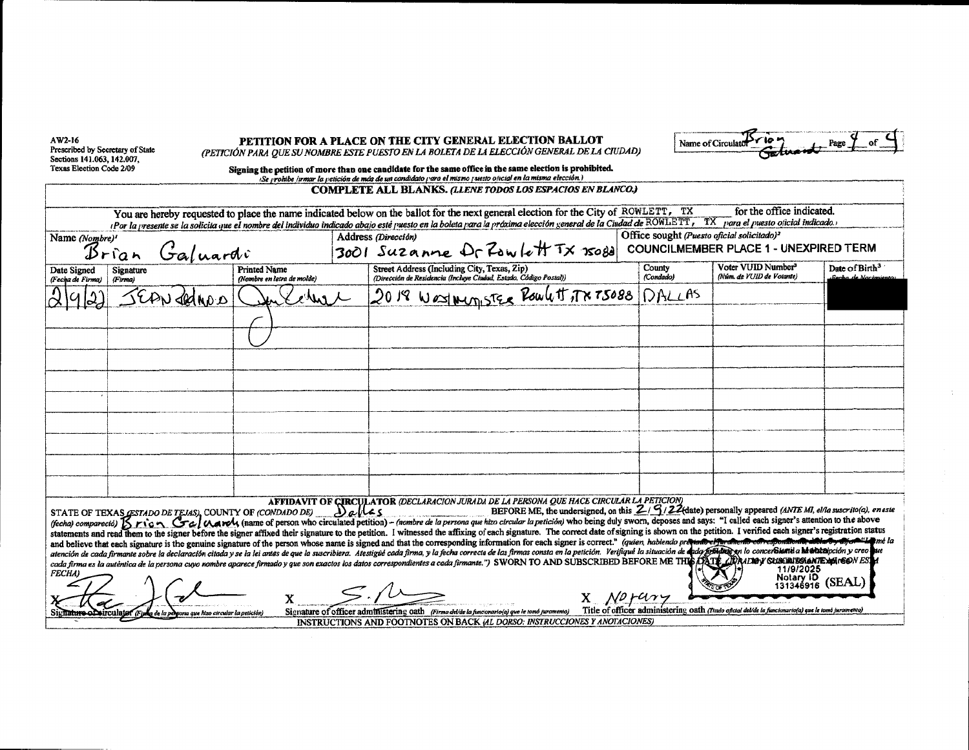| AW2-16<br>Prescribed by Secretary of State<br>Sections 141.063, 142.007,<br>Texas Election Code 2/09 |                      |                               |                                                                                      | PETITION FOR A PLACE ON THE CITY GENERAL ELECTION BALLOT<br>(PETICIÓN PARA QUE SU NOMBRE ESTE PUESTO EN LA BOLETA DE LA ELECCIÓN GENERAL DE LA CIUDAD)<br>Signing the petition of more than one candidate for the same office in the same election is prohibited.<br>¡Se yrombe irmar la petición de más de un candidato yara el mismo yuesto oficial en la misma elección.)                                                                                                                                                                                                                                                                                                                             |                     | Name of Circulato                                                                                   |                            |
|------------------------------------------------------------------------------------------------------|----------------------|-------------------------------|--------------------------------------------------------------------------------------|----------------------------------------------------------------------------------------------------------------------------------------------------------------------------------------------------------------------------------------------------------------------------------------------------------------------------------------------------------------------------------------------------------------------------------------------------------------------------------------------------------------------------------------------------------------------------------------------------------------------------------------------------------------------------------------------------------|---------------------|-----------------------------------------------------------------------------------------------------|----------------------------|
|                                                                                                      |                      |                               |                                                                                      | COMPLETE ALL BLANKS. (LIENE TODOS LOS ESPACIOS EN BLANCO.)                                                                                                                                                                                                                                                                                                                                                                                                                                                                                                                                                                                                                                               |                     |                                                                                                     |                            |
|                                                                                                      |                      |                               |                                                                                      | You are hereby requested to place the name indicated below on the ballot for the next general election for the City of ROWLETT, TX                                                                                                                                                                                                                                                                                                                                                                                                                                                                                                                                                                       |                     | for the office indicated.                                                                           |                            |
| Name (Nombre)'                                                                                       |                      |                               |                                                                                      | (Por la presente se la solicita que el nombre del individuo indicado abajo esté puesto en la boleta para la próxima elección general de la Ciudad de ROWLETT, TX para el puesto oficial indicado.<br>Address (Dirección)                                                                                                                                                                                                                                                                                                                                                                                                                                                                                 |                     | Office sought (Puesto oficial solicitado) <sup>2</sup>                                              |                            |
|                                                                                                      | la n                 | <i><i><i>salvardi</i></i></i> |                                                                                      | 3001 Suzanne Dr Zowlett TX Isold                                                                                                                                                                                                                                                                                                                                                                                                                                                                                                                                                                                                                                                                         |                     | <b>COUNCILMEMBER PLACE 1 - UNEXPIRED TERM</b>                                                       |                            |
| Date Signed<br>(Fecha de Firma)                                                                      | Signature<br>(Firma) |                               | <b>Printed Name</b><br>(Nombre en letra de molde)                                    | Street Address (Including City, Texas, Zip)<br>(Dirección de Residencia (Incluye Ciudad, Estado, Código Postal))                                                                                                                                                                                                                                                                                                                                                                                                                                                                                                                                                                                         | County<br>(Condado) | Voter VUID Number <sup>3</sup><br>(Núm. de VUID de Votante)                                         | Date of Birth <sup>3</sup> |
|                                                                                                      |                      |                               |                                                                                      | 2018 West Mergister Roulett of x TS088                                                                                                                                                                                                                                                                                                                                                                                                                                                                                                                                                                                                                                                                   | DALLAS              |                                                                                                     |                            |
|                                                                                                      |                      |                               |                                                                                      |                                                                                                                                                                                                                                                                                                                                                                                                                                                                                                                                                                                                                                                                                                          |                     |                                                                                                     |                            |
|                                                                                                      |                      |                               |                                                                                      |                                                                                                                                                                                                                                                                                                                                                                                                                                                                                                                                                                                                                                                                                                          |                     |                                                                                                     |                            |
|                                                                                                      |                      |                               |                                                                                      |                                                                                                                                                                                                                                                                                                                                                                                                                                                                                                                                                                                                                                                                                                          |                     |                                                                                                     |                            |
|                                                                                                      |                      |                               |                                                                                      |                                                                                                                                                                                                                                                                                                                                                                                                                                                                                                                                                                                                                                                                                                          |                     |                                                                                                     |                            |
|                                                                                                      |                      |                               |                                                                                      |                                                                                                                                                                                                                                                                                                                                                                                                                                                                                                                                                                                                                                                                                                          |                     |                                                                                                     |                            |
|                                                                                                      |                      |                               |                                                                                      |                                                                                                                                                                                                                                                                                                                                                                                                                                                                                                                                                                                                                                                                                                          |                     |                                                                                                     |                            |
|                                                                                                      |                      |                               |                                                                                      |                                                                                                                                                                                                                                                                                                                                                                                                                                                                                                                                                                                                                                                                                                          |                     |                                                                                                     |                            |
|                                                                                                      |                      |                               |                                                                                      |                                                                                                                                                                                                                                                                                                                                                                                                                                                                                                                                                                                                                                                                                                          |                     |                                                                                                     |                            |
|                                                                                                      |                      |                               |                                                                                      |                                                                                                                                                                                                                                                                                                                                                                                                                                                                                                                                                                                                                                                                                                          |                     |                                                                                                     |                            |
|                                                                                                      |                      |                               |                                                                                      |                                                                                                                                                                                                                                                                                                                                                                                                                                                                                                                                                                                                                                                                                                          |                     |                                                                                                     |                            |
|                                                                                                      |                      |                               | STATE OF TEXAS GSTADO DE TEJAS, COUNTY OF (CONDADO DE) $\bigcup_{\alpha}$   $\alpha$ | AFFIDAVIT OF CIRCULATOR (DECLARACION JURADA DE LA PERSONA QUE HACE CIRCULAR LA PETICION)<br>BEFORE ME, the undersigned, on this $\frac{Z}{3}/\frac{Q}{2}$ (date) personally appeared (ANTE MI, ella suscrito(a), eneste<br>(fecha) compareció) [5 rion Gal March, (name of person who circulated petition) - (nombre de la persona que hizo circular la petición) who being duly sworn, deposes and says: "I called each signer's attention to the above                                                                                                                                                                                                                                                 |                     |                                                                                                     |                            |
|                                                                                                      |                      |                               |                                                                                      | statements and read them to the signer before the signer affixed their signature to the petition. I witnessed the affixing of each signature. The correct date of signing is shown on the petition. I verified each signer's r<br>and believe that each signature is the genuine signature of the person whose name is signed and that the corresponding information for each signer is correct." (quien, habiendo prequado efferance of expondioned abilarely a<br>atención de cada firmante sobre la declaración citada y se la lei antes de que la suscribiera. Atestigué cada firma, y la fecha correcta de las firmas consta en la petición. Verifique la situación de <b>dede femento en lo co</b> |                     |                                                                                                     |                            |
| <b>FECHA</b> )                                                                                       |                      |                               |                                                                                      | cada firma es la autentica de la persona cuyo nombre aparece firmado y que son exactos los datos correspondientes a cada firmante.") SWORN TO AND SUBSCRIBED BEFORE ME THE LARIDAY SUSCRIBES ANTEXATED NES                                                                                                                                                                                                                                                                                                                                                                                                                                                                                               |                     | 11/9/2025<br>Notary ID<br>131346916                                                                 | (SEAL)                     |
|                                                                                                      |                      |                               |                                                                                      | No rur<br>Signature of officer administering oath (Firma delide la funcionario(a) que le tomó juramento)                                                                                                                                                                                                                                                                                                                                                                                                                                                                                                                                                                                                 |                     | Title of officer administering oath (Titulo oficial del/de la funcionario(a) que le tomb juramento) |                            |
| Signature of circulate                                                                               |                      | hizo circular la petición)    |                                                                                      | INSTRUCTIONS AND FOOTNOTES ON BACK (AL DORSO: INSTRUCCIONES Y ANOTACIONES)                                                                                                                                                                                                                                                                                                                                                                                                                                                                                                                                                                                                                               |                     |                                                                                                     |                            |

 $\sim 10^5$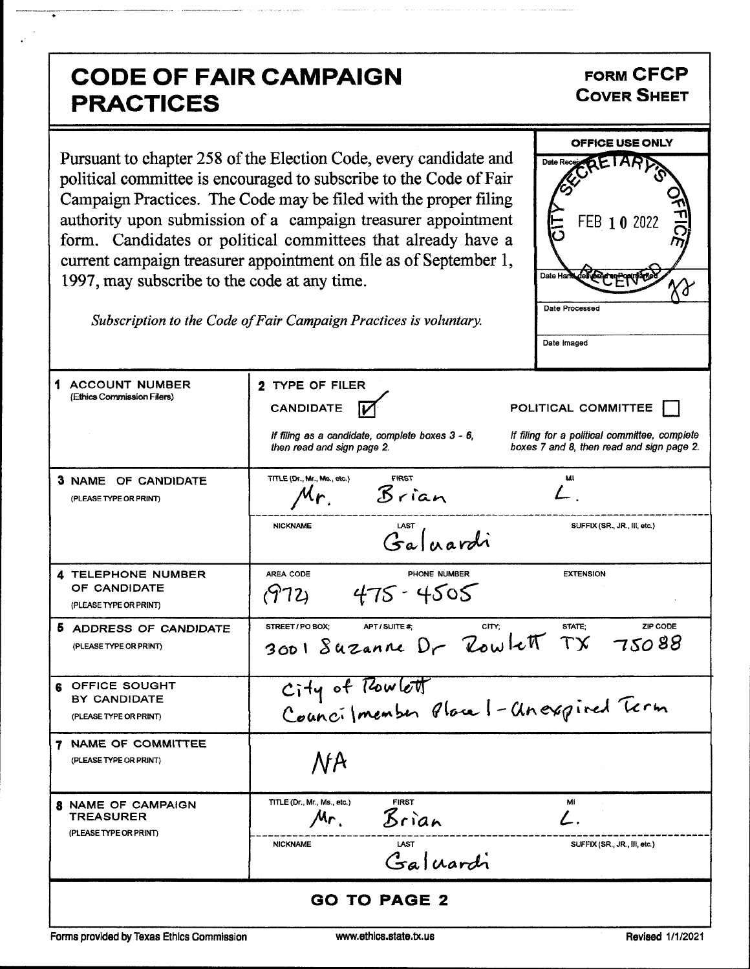## **CODE OF FAIR CAMPAIGN PRACTICES**

## **FORM CFCP COVER SHEET**

Pursuant to chapter 258 of the Election Code, every candidate and political committee is encouraged to subscribe to the Code of Fair Campaign Practices. The Code may be filed with the proper filing authority upon submission of a campaign treasurer appointment form. Candidates or political committees that already have a current campaign treasurer appointment on file as of September 1, 1997, may subscribe to the code at any time.



Subscription to the Code of Fair Campaign Practices is voluntary.

| 1 ACCOUNT NUMBER<br>(Ethics Commission Filers)                          | 2 TYPE OF FILER<br><b>CANDIDATE</b><br>If filing as a candidate, complete boxes 3 - 6,<br>then read and sign page 2. | POLITICAL COMMITTEE<br>If filing for a political committee, complete<br>boxes 7 and 8, then read and sign page 2. |
|-------------------------------------------------------------------------|----------------------------------------------------------------------------------------------------------------------|-------------------------------------------------------------------------------------------------------------------|
| <b>3 NAME OF CANDIDATE</b><br>(PLEASE TYPE OR PRINT)                    | TITLE (Dr., Mr., Ms., etc.)<br>FIRST<br>Brian<br>Mr.<br><b>NICKNAME</b><br>Galuardi                                  | MI<br>SUFFIX (SR., JR., III, etc.)                                                                                |
| <b>4 TELEPHONE NUMBER</b><br>OF CANDIDATE<br>(PLEASE TYPE OR PRINT)     | AREA CODE<br>PHONE NUMBER<br>$475 - 4505$<br>(972)                                                                   | <b>EXTENSION</b>                                                                                                  |
| 5 ADDRESS OF CANDIDATE<br>(PLEASE TYPE OR PRINT)                        | STREET / PO BOX:<br>APT / SUITE #:<br>3001 Suzanne Dr Zowlett TX 75088                                               | STATE:<br>ZIP CODE<br>CITY:                                                                                       |
| <b>6 OFFICE SOUGHT</b><br>BY CANDIDATE<br>(PLEASE TYPE OR PRINT)        | City of Rowlett<br>Councilmenter Place 1-Anexpired Term                                                              |                                                                                                                   |
| <b>7 NAME OF COMMITTEE</b><br>(PLEASE TYPE OR PRINT)                    | <b>NA</b>                                                                                                            |                                                                                                                   |
| <b>8 NAME OF CAMPAIGN</b><br><b>TREASURER</b><br>(PLEASE TYPE OR PRINT) | TITLE (Dr., Mr., Ms., etc.)<br><b>FIRST</b><br>Brian<br>$Mr_{1}$<br><b>NICKNAME</b><br><b>LAST</b><br>Galuardi       | Mi<br>$\mathcal{L}_{\mathbb{R}}$<br>SUFFIX (SR., JR., III, etc.)                                                  |
|                                                                         | <b>GO TO PAGE 2</b>                                                                                                  |                                                                                                                   |

Forms provided by Texas Ethics Commission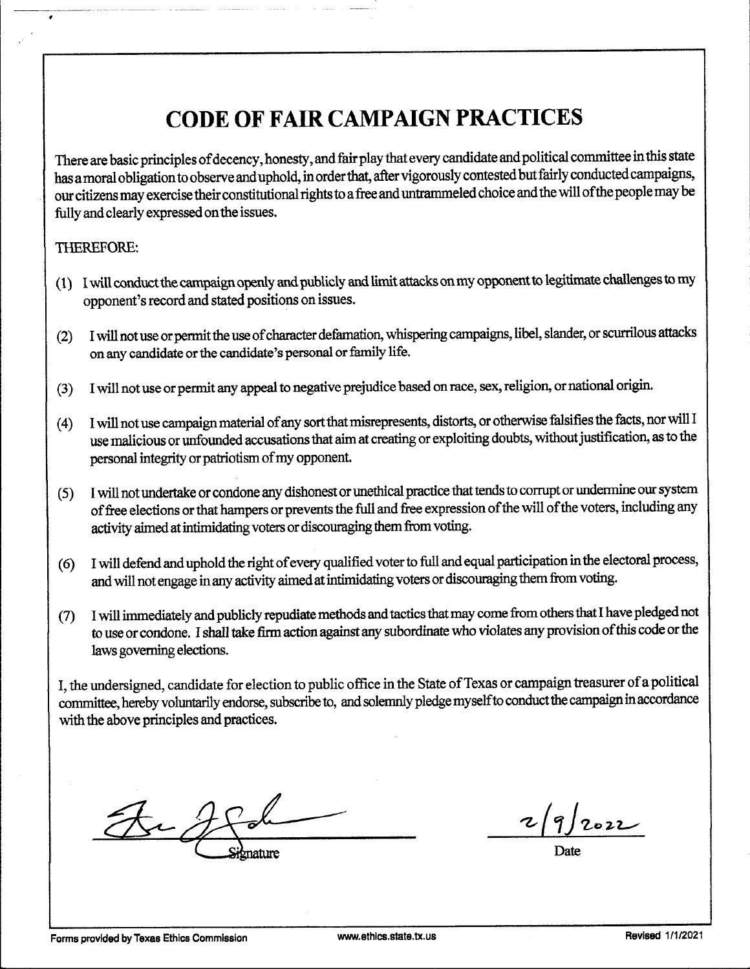# CODE OF FAIR CAMPAIGN PRACTICES

There are basic principles ofdecency, honesty, and fair play that every candidate and political committee in this state has amoral obligation to observe and uphold, in order that, after vigorously contested but fairly conducted campaigns, our citizens may exercise their constitutional rights to a free and untrammeled choice and the will ofthe people may be fully and clearly expressed onthe issues.

### THEREFORE:

- 1) Iwill conduct the campaign openly and publicly and limit attacks on my opponent to legitimate challenges to my opponent's record and stated positions on issues.
- (2) I will not use or permit the use of character defamation, whispering campaigns, libel, slander, or scurrilous attacks on any candidate or the candidate's personal or family life.
- 3) I will not use or permit any appeal to negative prejudice based on race, sex, religion, or national origin.
- (4) I will not use campaign material of any sort that misrepresents, distorts, or otherwise falsifies the facts, nor will I use malicious or unfounded accusations that aim at creating or exploiting doubts, without justification, as to the personal integrity or patriotism of my opponent.
- 5) I will not undertake or condone any dishonest or unethical practice that tends to corrupt or undermine our system of free elections or that hampers or prevents the full and free expression of the will of the voters, including any activity aimed at intimidating voters or discouraging them from voting.
- 6) I will defend and uphold the right ofevery qualified voter to full and equal participation in the electoral process, and will not engage in any activity aimed at intimidating voters or discouraging them from voting.
- 7) I will immediately and publicly repudiate methods and tactics that may come from others that I have pledged not to use or condone. I shall take firm action against any subordinate who violates any provision ofthis code or the laws governing elections.

I, the undersigned, candidate for election to public office in the State of Texas or campaign treasurer of a political committee, hereby voluntarily endorse, subscribe to, and solemnly pledge myselfto conduct the campaign inaccordance with the above principles and practices.

the  $\frac{2}{9}$ <br>Signature Date

 $19/2022$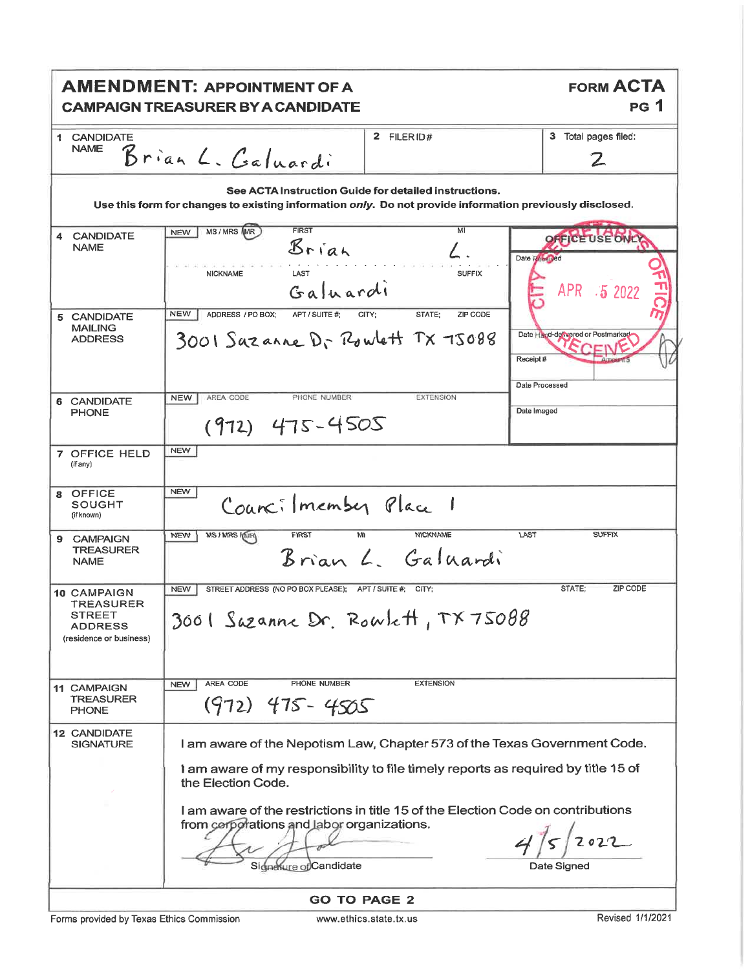|                                                                                               | <b>AMENDMENT: APPOINTMENT OF A</b><br><b>CAMPAIGN TREASURER BY A CANDIDATE</b>                                                                                                                                                                                                                                                                   |                                                       | <b>FORM ACTA</b><br><b>PG</b> 1                               |
|-----------------------------------------------------------------------------------------------|--------------------------------------------------------------------------------------------------------------------------------------------------------------------------------------------------------------------------------------------------------------------------------------------------------------------------------------------------|-------------------------------------------------------|---------------------------------------------------------------|
| 1 CANDIDATE<br><b>NAME</b>                                                                    | Brian L. Galuardi                                                                                                                                                                                                                                                                                                                                | 2 FILER ID#                                           | 3 Total pages filed:<br>$\mathbf{Z}$                          |
|                                                                                               | Use this form for changes to existing information only. Do not provide information previously disclosed.                                                                                                                                                                                                                                         | See ACTA Instruction Guide for detailed instructions. |                                                               |
| <b>CANDIDATE</b><br>4<br><b>NAME</b>                                                          | MS/MRS MR<br><b>FIRST</b><br><b>NEW</b><br>Brian<br>LAST<br><b>NICKNAME</b><br>Galuardi                                                                                                                                                                                                                                                          | MI<br><b>SUFFIX</b>                                   | <b>USE ONC</b><br>Date Romined<br>APR 5 2022                  |
| 5 CANDIDATE<br><b>MAILING</b><br><b>ADDRESS</b>                                               | <b>NEW</b><br>ADDRESS / PO BOX:<br>APT / SUITE #:<br>3001 Sazanne Dr Rowlett TX 75088                                                                                                                                                                                                                                                            | STATE:<br>ZIP CODE<br>CITY;                           | Date Hand-dewered or Postmarked<br>Receipt#<br>Date Processed |
| 6 CANDIDATE<br><b>PHONE</b>                                                                   | AREA CODE<br>PHONE NUMBER<br><b>NEW</b><br>$(972)$ 475-4505                                                                                                                                                                                                                                                                                      | <b>EXTENSION</b>                                      | Date Imaged                                                   |
| 7 OFFICE HELD<br>(if any)                                                                     | <b>NEW</b>                                                                                                                                                                                                                                                                                                                                       |                                                       |                                                               |
| <b>OFFICE</b><br>8<br>SOUGHT<br>(if known)                                                    | <b>NEW</b><br>Councilmember Place 1                                                                                                                                                                                                                                                                                                              |                                                       |                                                               |
| <b>CAMPAIGN</b><br>9<br><b>TREASURER</b><br><b>NAME</b>                                       | <b>MS / MRS / MRY</b><br>FIRST<br>M<br><b>NEW</b>                                                                                                                                                                                                                                                                                                | <b>NICKNAME</b><br>LAST<br>Brian L. Galuardi          | <b>SUFFIX</b>                                                 |
| <b>10 CAMPAIGN</b><br><b>TREASURER</b><br>STREET<br><b>ADDRESS</b><br>(residence or business) | <b>NEW</b><br>STREET ADDRESS (NO PO BOX PLEASE); APT / SUITE #; CITY;<br>3001 Suzanne Dr. Rowlett, TX75088                                                                                                                                                                                                                                       |                                                       | ZIP CODE<br>STATE:                                            |
| <b>11 CAMPAIGN</b><br><b>TREASURER</b><br><b>PHONE</b>                                        | AREA CODE<br>PHONE NUMBER<br><b>NEW</b><br>$(972)$ 475 - 4505                                                                                                                                                                                                                                                                                    | <b>EXTENSION</b>                                      |                                                               |
| <b>12 CANDIDATE</b><br><b>SIGNATURE</b>                                                       | I am aware of the Nepotism Law, Chapter 573 of the Texas Government Code.<br>I am aware of my responsibility to file timely reports as required by title 15 of<br>the Election Code.<br>I am aware of the restrictions in title 15 of the Election Code on contributions<br>from corporations and labor organizations.<br>Signesure of Candidate |                                                       | Date Signed                                                   |
|                                                                                               |                                                                                                                                                                                                                                                                                                                                                  | <b>GO TO PAGE 2</b>                                   |                                                               |